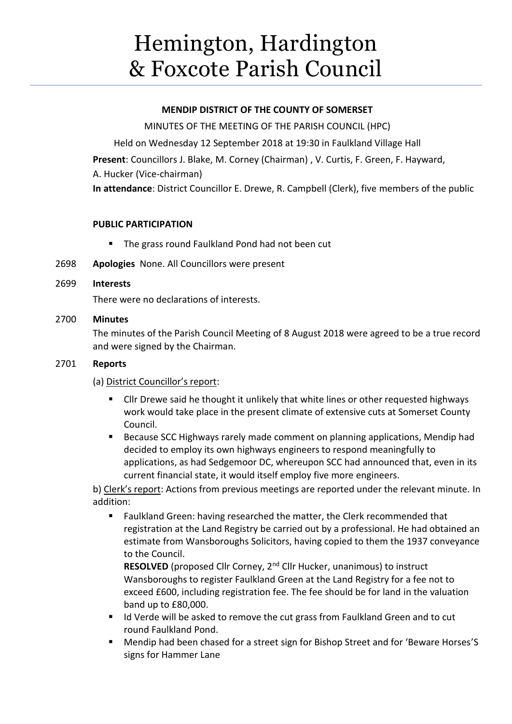# Hemington, Hardington & Foxcote Parish Council

# **MENDIP DISTRICT OF THE COUNTY OF SOMERSET**

MINUTES OF THE MEETING OF THE PARISH COUNCIL (HPC)

Held on Wednesday 12 September 2018 at 19:30 in Faulkland Village Hall **Present**: Councillors J. Blake, M. Corney (Chairman) , V. Curtis, F. Green, F. Hayward, A. Hucker (Vice-chairman) **In attendance**: District Councillor E. Drewe, R. Campbell (Clerk), five members of the public

# **PUBLIC PARTICIPATION**

- The grass round Faulkland Pond had not been cut
- 2698 **Apologies** None. All Councillors were present

# 2699 **Interests**

There were no declarations of interests.

# 2700 **Minutes**

The minutes of the Parish Council Meeting of 8 August 2018 were agreed to be a true record and were signed by the Chairman.

## 2701 **Reports**

(a) District Councillor's report:

- Cllr Drewe said he thought it unlikely that white lines or other requested highways work would take place in the present climate of extensive cuts at Somerset County Council.
- Because SCC Highways rarely made comment on planning applications, Mendip had decided to employ its own highways engineers to respond meaningfully to applications, as had Sedgemoor DC, whereupon SCC had announced that, even in its current financial state, it would itself employ five more engineers.

b) Clerk's report: Actions from previous meetings are reported under the relevant minute. In addition:

■ Faulkland Green: having researched the matter, the Clerk recommended that registration at the Land Registry be carried out by a professional. He had obtained an estimate from Wansboroughs Solicitors, having copied to them the 1937 conveyance to the Council.

**RESOLVED** (proposed Cllr Corney, 2<sup>nd</sup> Cllr Hucker, unanimous) to instruct Wansboroughs to register Faulkland Green at the Land Registry for a fee not to exceed £600, including registration fee. The fee should be for land in the valuation band up to £80,000.

- Id Verde will be asked to remove the cut grass from Faulkland Green and to cut round Faulkland Pond.
- Mendip had been chased for a street sign for Bishop Street and for 'Beware Horses'S signs for Hammer Lane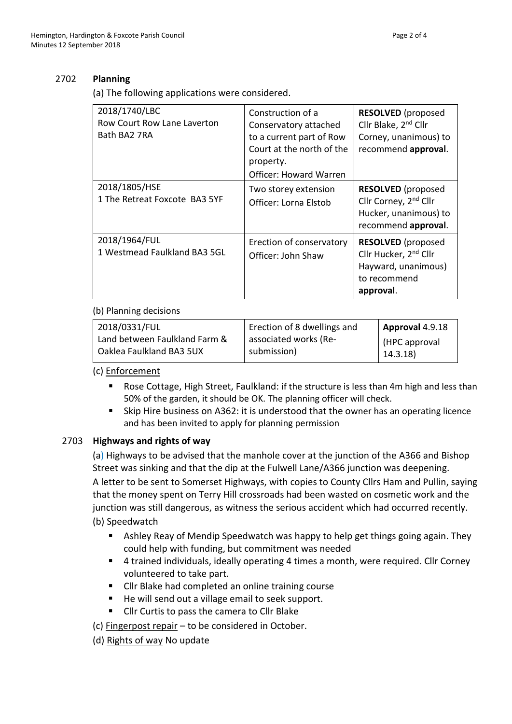# 2702 **Planning**

(a) The following applications were considered.

| 2018/1740/LBC<br>Row Court Row Lane Laverton<br>Bath BA2 7RA | Construction of a<br>Conservatory attached<br>to a current part of Row<br>Court at the north of the<br>property.<br>Officer: Howard Warren | <b>RESOLVED</b> (proposed<br>Cllr Blake, 2 <sup>nd</sup> Cllr<br>Corney, unanimous) to<br>recommend approval.      |
|--------------------------------------------------------------|--------------------------------------------------------------------------------------------------------------------------------------------|--------------------------------------------------------------------------------------------------------------------|
| 2018/1805/HSE<br>1 The Retreat Foxcote BA3 5YF               | Two storey extension<br>Officer: Lorna Elstob                                                                                              | <b>RESOLVED</b> (proposed<br>Cllr Corney, 2 <sup>nd</sup> Cllr<br>Hucker, unanimous) to<br>recommend approval.     |
| 2018/1964/FUL<br>1 Westmead Faulkland BA3 5GL                | Erection of conservatory<br>Officer: John Shaw                                                                                             | <b>RESOLVED</b> (proposed<br>Cllr Hucker, 2 <sup>nd</sup> Cllr<br>Hayward, unanimous)<br>to recommend<br>approval. |

## (b) Planning decisions

| 2018/0331/FUL                 | Erection of 8 dwellings and | Approval 4.9.18 |
|-------------------------------|-----------------------------|-----------------|
| Land between Faulkland Farm & | associated works (Re-       | HPC approval    |
| Oaklea Faulkland BA3 5UX      | submission)                 | 14.3.18         |

(c) Enforcement

- Rose Cottage, High Street, Faulkland: if the structure is less than 4m high and less than 50% of the garden, it should be OK. The planning officer will check.
- Skip Hire business on A362: it is understood that the owner has an operating licence and has been invited to apply for planning permission

## 2703 **Highways and rights of way**

(a) Highways to be advised that the manhole cover at the junction of the A366 and Bishop Street was sinking and that the dip at the Fulwell Lane/A366 junction was deepening. A letter to be sent to Somerset Highways, with copies to County Cllrs Ham and Pullin, saying that the money spent on Terry Hill crossroads had been wasted on cosmetic work and the junction was still dangerous, as witness the serious accident which had occurred recently. (b) Speedwatch

- **E** Ashley Reay of Mendip Speedwatch was happy to help get things going again. They could help with funding, but commitment was needed
- 4 trained individuals, ideally operating 4 times a month, were required. Cllr Corney volunteered to take part.
- Cllr Blake had completed an online training course
- He will send out a village email to seek support.
- Cllr Curtis to pass the camera to Cllr Blake
- (c) Fingerpost repair to be considered in October.
- (d) Rights of way No update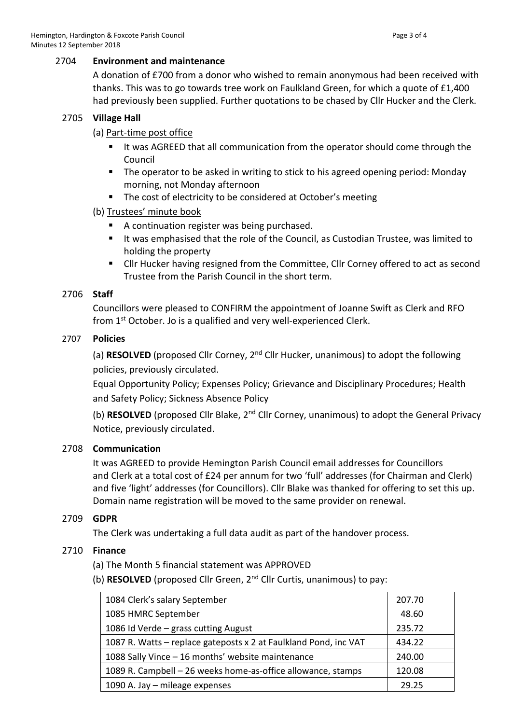#### 2704 **Environment and maintenance**

A donation of £700 from a donor who wished to remain anonymous had been received with thanks. This was to go towards tree work on Faulkland Green, for which a quote of £1,400 had previously been supplied. Further quotations to be chased by Cllr Hucker and the Clerk.

#### 2705 **Village Hall**

#### (a) Part-time post office

- It was AGREED that all communication from the operator should come through the Council
- The operator to be asked in writing to stick to his agreed opening period: Monday morning, not Monday afternoon
- The cost of electricity to be considered at October's meeting
- (b) Trustees' minute book
	- A continuation register was being purchased.
	- It was emphasised that the role of the Council, as Custodian Trustee, was limited to holding the property
	- Cllr Hucker having resigned from the Committee, Cllr Corney offered to act as second Trustee from the Parish Council in the short term.

#### 2706 **Staff**

Councillors were pleased to CONFIRM the appointment of Joanne Swift as Clerk and RFO from 1<sup>st</sup> October. Jo is a qualified and very well-experienced Clerk.

#### 2707 **Policies**

(a) **RESOLVED** (proposed Cllr Corney, 2nd Cllr Hucker, unanimous) to adopt the following policies, previously circulated.

Equal Opportunity Policy; Expenses Policy; Grievance and Disciplinary Procedures; Health and Safety Policy; Sickness Absence Policy

(b) **RESOLVED** (proposed Cllr Blake, 2<sup>nd</sup> Cllr Corney, unanimous) to adopt the General Privacy Notice, previously circulated.

## 2708 **Communication**

It was AGREED to provide Hemington Parish Council email addresses for Councillors and Clerk at a total cost of £24 per annum for two 'full' addresses (for Chairman and Clerk) and five 'light' addresses (for Councillors). Cllr Blake was thanked for offering to set this up. Domain name registration will be moved to the same provider on renewal.

## 2709 **GDPR**

The Clerk was undertaking a full data audit as part of the handover process.

## 2710 **Finance**

(a) The Month 5 financial statement was APPROVED

(b) **RESOLVED** (proposed Cllr Green, 2nd Cllr Curtis, unanimous) to pay:

| 1084 Clerk's salary September                                    | 207.70 |
|------------------------------------------------------------------|--------|
| 1085 HMRC September                                              | 48.60  |
| 1086 Id Verde - grass cutting August                             | 235.72 |
| 1087 R. Watts - replace gateposts x 2 at Faulkland Pond, inc VAT | 434.22 |
| 1088 Sally Vince - 16 months' website maintenance                | 240.00 |
| 1089 R. Campbell – 26 weeks home-as-office allowance, stamps     | 120.08 |
| 1090 A. Jay - mileage expenses                                   | 29.25  |